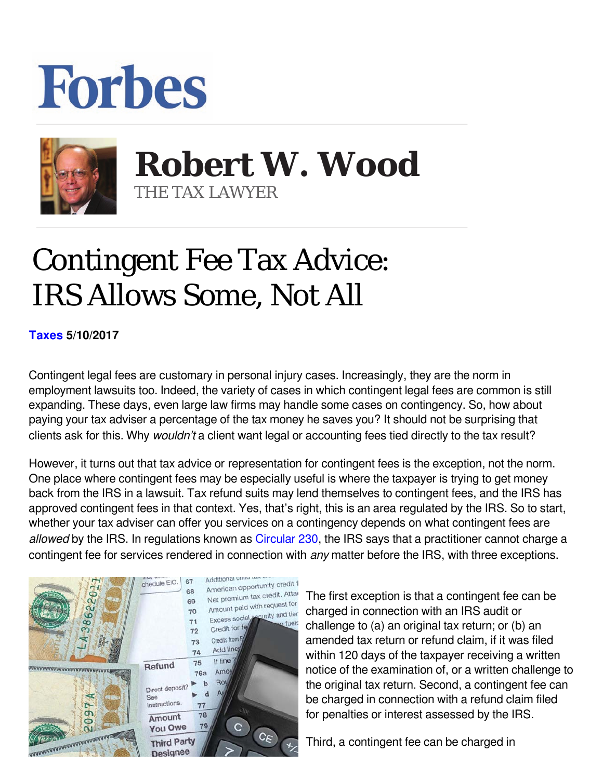## **Forbes**



 **Robert W. Wood** THE TAX LAWYER

## Contingent Fee Tax Advice: IRS Allows Some, Not All

## **[Taxes](https://www.forbes.com/taxes) 5/10/2017**

Contingent legal fees are customary in personal injury cases. Increasingly, they are the norm in employment lawsuits too. Indeed, the variety of cases in which contingent legal fees are common is still expanding. These days, even large law firms may handle some cases on contingency. So, how about paying your tax adviser a percentage of the tax money he saves you? It should not be surprising that clients ask for this. Why *wouldn't* a client want legal or accounting fees tied directly to the tax result?

However, it turns out that tax advice or representation for contingent fees is the exception, not the norm. One place where contingent fees may be especially useful is where the taxpayer is trying to get money back from the IRS in a lawsuit. Tax refund suits may lend themselves to contingent fees, and the IRS has approved contingent fees in that context. Yes, that's right, this is an area regulated by the IRS. So to start, whether your tax adviser can offer you services on a contingency depends on what contingent fees are *allowed* by the IRS. In regulations known as [Circular 230](https://www.irs.gov/tax-professionals/circular-230-tax-professionals), the IRS says that a practitioner cannot charge a contingent fee for services rendered in connection with *any* matter before the IRS, with three exceptions.

| P<br>8622      | <b>HIMI MALL</b><br>Additional critic turn of<br>67<br>chedule EIC.<br>American opportunity credit f<br>68<br>Net premium tax credit. Atta<br>69<br>Amount paid with request for<br>70<br>Excess social security and tier<br>71<br><b>n</b> fuels<br>Credit for fe<br>72<br>Credits from F<br>73<br>Add lines |
|----------------|---------------------------------------------------------------------------------------------------------------------------------------------------------------------------------------------------------------------------------------------------------------------------------------------------------------|
|                | 74<br>If line<br>75<br>Refund<br>Amoy<br>76a<br>Row<br>b<br>Direct deposit?                                                                                                                                                                                                                                   |
|                | d<br>See<br>instructions.<br>77<br>78<br>Amount<br>79<br>◠<br><b>You Owe</b>                                                                                                                                                                                                                                  |
| <b>UNIVERS</b> | $C_{E}$<br><b>Third Party</b><br><b>Designee</b>                                                                                                                                                                                                                                                              |

The first exception is that a contingent fee can be charged in connection with an IRS audit or challenge to (a) an original tax return; or (b) an amended tax return or refund claim, if it was filed within 120 days of the taxpayer receiving a written notice of the examination of, or a written challenge to the original tax return. Second, a contingent fee can be charged in connection with a refund claim filed for penalties or interest assessed by the IRS.

Third, a contingent fee can be charged in